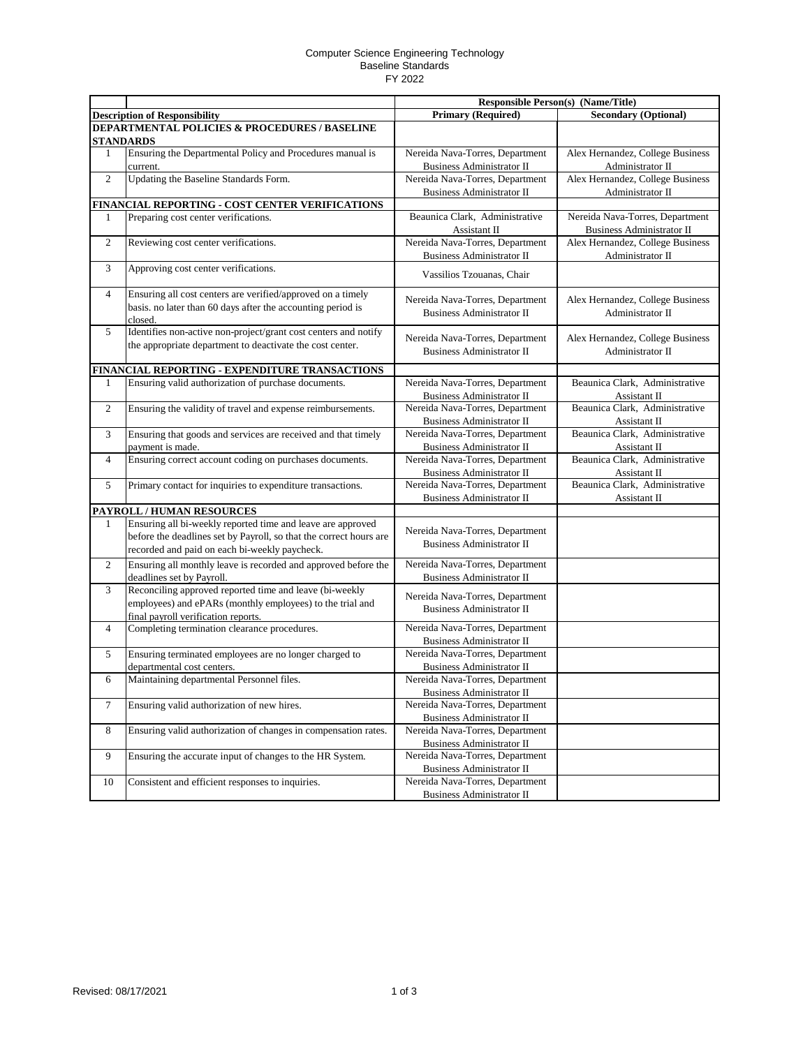## Computer Science Engineering Technology Baseline Standards FY 2022

|                |                                                                    |                                                              | <b>Responsible Person(s) (Name/Title)</b> |  |  |  |
|----------------|--------------------------------------------------------------------|--------------------------------------------------------------|-------------------------------------------|--|--|--|
|                | <b>Description of Responsibility</b>                               | <b>Primary (Required)</b>                                    | <b>Secondary (Optional)</b>               |  |  |  |
|                | <b>DEPARTMENTAL POLICIES &amp; PROCEDURES / BASELINE</b>           |                                                              |                                           |  |  |  |
|                | <b>STANDARDS</b>                                                   |                                                              |                                           |  |  |  |
| $\mathbf{1}$   | Ensuring the Departmental Policy and Procedures manual is          | Nereida Nava-Torres, Department                              | Alex Hernandez, College Business          |  |  |  |
|                | current.                                                           | <b>Business Administrator II</b>                             | Administrator II                          |  |  |  |
| $\overline{c}$ | Updating the Baseline Standards Form.                              | Nereida Nava-Torres, Department                              | Alex Hernandez, College Business          |  |  |  |
|                |                                                                    | <b>Business Administrator II</b>                             | Administrator II                          |  |  |  |
|                | FINANCIAL REPORTING - COST CENTER VERIFICATIONS                    |                                                              |                                           |  |  |  |
| 1              | Preparing cost center verifications.                               | Beaunica Clark, Administrative                               | Nereida Nava-Torres, Department           |  |  |  |
|                |                                                                    | Assistant II                                                 | Business Administrator II                 |  |  |  |
| 2              | Reviewing cost center verifications.                               | Nereida Nava-Torres, Department                              | Alex Hernandez, College Business          |  |  |  |
|                |                                                                    | Business Administrator II                                    | Administrator II                          |  |  |  |
| 3              | Approving cost center verifications.                               | Vassilios Tzouanas, Chair                                    |                                           |  |  |  |
| $\overline{4}$ | Ensuring all cost centers are verified/approved on a timely        |                                                              |                                           |  |  |  |
|                | basis. no later than 60 days after the accounting period is        | Nereida Nava-Torres, Department                              | Alex Hernandez, College Business          |  |  |  |
|                | closed.                                                            | <b>Business Administrator II</b>                             | Administrator II                          |  |  |  |
| 5              | Identifies non-active non-project/grant cost centers and notify    |                                                              |                                           |  |  |  |
|                | the appropriate department to deactivate the cost center.          | Nereida Nava-Torres, Department                              | Alex Hernandez, College Business          |  |  |  |
|                |                                                                    | <b>Business Administrator II</b>                             | Administrator II                          |  |  |  |
|                | FINANCIAL REPORTING - EXPENDITURE TRANSACTIONS                     |                                                              |                                           |  |  |  |
| 1              | Ensuring valid authorization of purchase documents.                | Nereida Nava-Torres, Department                              | Beaunica Clark, Administrative            |  |  |  |
|                |                                                                    | <b>Business Administrator II</b>                             | Assistant II                              |  |  |  |
| $\overline{c}$ | Ensuring the validity of travel and expense reimbursements.        | Nereida Nava-Torres, Department                              | Beaunica Clark, Administrative            |  |  |  |
|                |                                                                    | <b>Business Administrator II</b>                             | Assistant II                              |  |  |  |
| 3              | Ensuring that goods and services are received and that timely      | Nereida Nava-Torres, Department                              | Beaunica Clark, Administrative            |  |  |  |
|                | payment is made.                                                   | <b>Business Administrator II</b>                             | Assistant II                              |  |  |  |
| $\overline{4}$ | Ensuring correct account coding on purchases documents.            | Nereida Nava-Torres, Department                              | Beaunica Clark, Administrative            |  |  |  |
|                |                                                                    | <b>Business Administrator II</b>                             | Assistant II                              |  |  |  |
| 5              | Primary contact for inquiries to expenditure transactions.         | Nereida Nava-Torres, Department                              | Beaunica Clark, Administrative            |  |  |  |
|                |                                                                    | <b>Business Administrator II</b>                             | Assistant II                              |  |  |  |
|                | PAYROLL / HUMAN RESOURCES                                          |                                                              |                                           |  |  |  |
| 1              | Ensuring all bi-weekly reported time and leave are approved        | Nereida Nava-Torres, Department                              |                                           |  |  |  |
|                | before the deadlines set by Payroll, so that the correct hours are | <b>Business Administrator II</b>                             |                                           |  |  |  |
|                | recorded and paid on each bi-weekly paycheck.                      |                                                              |                                           |  |  |  |
| $\overline{c}$ | Ensuring all monthly leave is recorded and approved before the     | Nereida Nava-Torres, Department                              |                                           |  |  |  |
|                | deadlines set by Payroll.                                          | <b>Business Administrator II</b>                             |                                           |  |  |  |
| 3              | Reconciling approved reported time and leave (bi-weekly            | Nereida Nava-Torres, Department                              |                                           |  |  |  |
|                | employees) and ePARs (monthly employees) to the trial and          | <b>Business Administrator II</b>                             |                                           |  |  |  |
|                | final payroll verification reports.                                |                                                              |                                           |  |  |  |
| 4              | Completing termination clearance procedures.                       | Nereida Nava-Torres, Department                              |                                           |  |  |  |
|                | Ensuring terminated employees are no longer charged to             | Business Administrator II<br>Nereida Nava-Torres, Department |                                           |  |  |  |
| 5              | departmental cost centers.                                         | <b>Business Administrator II</b>                             |                                           |  |  |  |
| 6              | Maintaining departmental Personnel files.                          | Nereida Nava-Torres, Department                              |                                           |  |  |  |
|                |                                                                    | Business Administrator II                                    |                                           |  |  |  |
| 7              | Ensuring valid authorization of new hires.                         | Nereida Nava-Torres, Department                              |                                           |  |  |  |
|                |                                                                    | <b>Business Administrator II</b>                             |                                           |  |  |  |
| 8              | Ensuring valid authorization of changes in compensation rates.     | Nereida Nava-Torres, Department                              |                                           |  |  |  |
|                |                                                                    | Business Administrator II                                    |                                           |  |  |  |
| 9              | Ensuring the accurate input of changes to the HR System.           | Nereida Nava-Torres, Department                              |                                           |  |  |  |
|                |                                                                    | <b>Business Administrator II</b>                             |                                           |  |  |  |
| 10             | Consistent and efficient responses to inquiries.                   | Nereida Nava-Torres, Department                              |                                           |  |  |  |
|                |                                                                    | Business Administrator II                                    |                                           |  |  |  |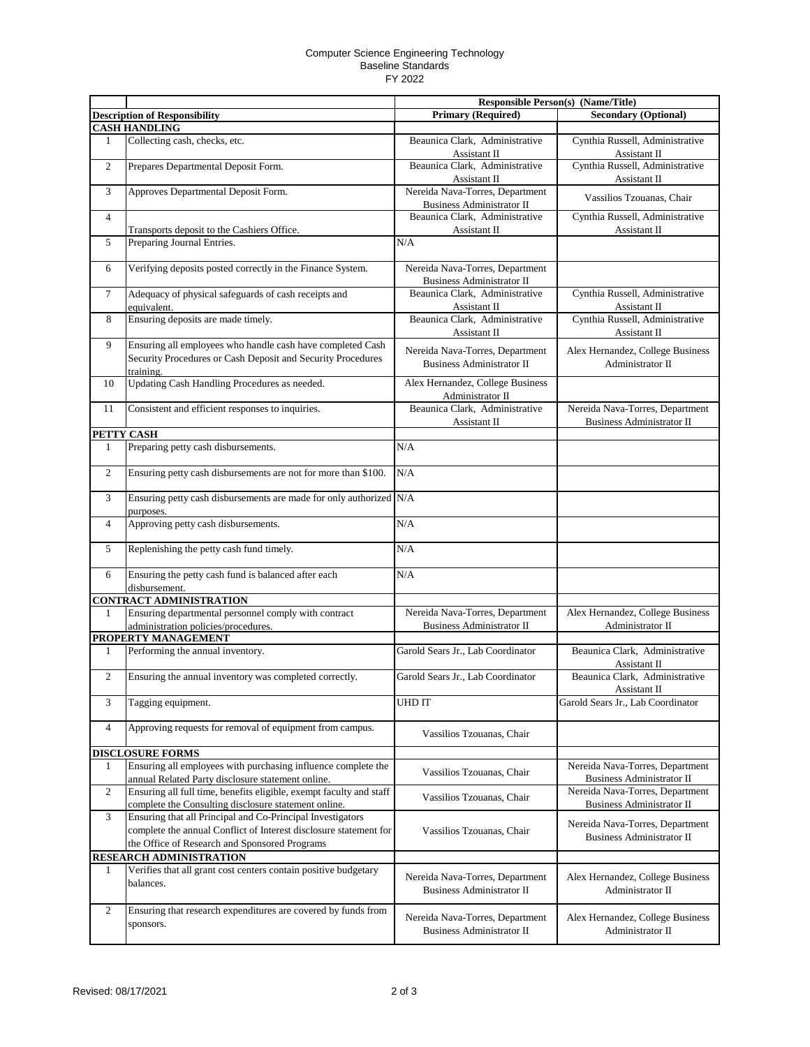## Computer Science Engineering Technology Baseline Standards FY 2022

|                |                                                                                                                                                                                  |                                                                     | <b>Responsible Person(s) (Name/Title)</b>                           |
|----------------|----------------------------------------------------------------------------------------------------------------------------------------------------------------------------------|---------------------------------------------------------------------|---------------------------------------------------------------------|
|                | <b>Description of Responsibility</b><br><b>CASH HANDLING</b>                                                                                                                     | <b>Primary (Required)</b>                                           | <b>Secondary (Optional)</b>                                         |
| 1              | Collecting cash, checks, etc.                                                                                                                                                    | Beaunica Clark, Administrative<br>Assistant II                      | Cynthia Russell, Administrative<br>Assistant II                     |
| $\overline{c}$ | Prepares Departmental Deposit Form.                                                                                                                                              | Beaunica Clark, Administrative<br>Assistant II                      | Cynthia Russell, Administrative<br>Assistant II                     |
| 3              | Approves Departmental Deposit Form.                                                                                                                                              | Nereida Nava-Torres, Department<br><b>Business Administrator II</b> | Vassilios Tzouanas, Chair                                           |
| $\overline{4}$ | Transports deposit to the Cashiers Office.                                                                                                                                       | Beaunica Clark, Administrative<br>Assistant II                      | Cynthia Russell, Administrative<br>Assistant II                     |
| 5              | Preparing Journal Entries.                                                                                                                                                       | N/A                                                                 |                                                                     |
| 6              | Verifying deposits posted correctly in the Finance System.                                                                                                                       | Nereida Nava-Torres, Department<br>Business Administrator II        |                                                                     |
| 7              | Adequacy of physical safeguards of cash receipts and<br>equivalent.                                                                                                              | Beaunica Clark, Administrative<br>Assistant II                      | Cynthia Russell, Administrative<br>Assistant II                     |
| 8              | Ensuring deposits are made timely.                                                                                                                                               | Beaunica Clark, Administrative<br>Assistant II                      | Cynthia Russell, Administrative<br>Assistant II                     |
| 9              | Ensuring all employees who handle cash have completed Cash<br>Security Procedures or Cash Deposit and Security Procedures<br>training.                                           | Nereida Nava-Torres, Department<br><b>Business Administrator II</b> | Alex Hernandez, College Business<br>Administrator II                |
| 10             | Updating Cash Handling Procedures as needed.                                                                                                                                     | Alex Hernandez, College Business<br>Administrator II                |                                                                     |
| 11             | Consistent and efficient responses to inquiries.                                                                                                                                 | Beaunica Clark, Administrative<br>Assistant II                      | Nereida Nava-Torres, Department<br><b>Business Administrator II</b> |
|                | PETTY CASH                                                                                                                                                                       |                                                                     |                                                                     |
| 1              | Preparing petty cash disbursements.                                                                                                                                              | N/A                                                                 |                                                                     |
| $\overline{c}$ | Ensuring petty cash disbursements are not for more than \$100.                                                                                                                   | N/A                                                                 |                                                                     |
| 3              | Ensuring petty cash disbursements are made for only authorized N/A<br>purposes.                                                                                                  |                                                                     |                                                                     |
| $\overline{4}$ | Approving petty cash disbursements.                                                                                                                                              | N/A                                                                 |                                                                     |
| 5              | Replenishing the petty cash fund timely.                                                                                                                                         | N/A                                                                 |                                                                     |
| 6              | Ensuring the petty cash fund is balanced after each<br>disbursement.                                                                                                             | N/A                                                                 |                                                                     |
|                | <b>CONTRACT ADMINISTRATION</b>                                                                                                                                                   |                                                                     |                                                                     |
| 1              | Ensuring departmental personnel comply with contract<br>administration policies/procedures.                                                                                      | Nereida Nava-Torres, Department<br><b>Business Administrator II</b> | Alex Hernandez, College Business<br>Administrator II                |
|                | PROPERTY MANAGEMENT                                                                                                                                                              |                                                                     |                                                                     |
| $\mathbf{1}$   | Performing the annual inventory.                                                                                                                                                 | Garold Sears Jr., Lab Coordinator                                   | Beaunica Clark, Administrative<br>Assistant II                      |
| $\overline{c}$ | Ensuring the annual inventory was completed correctly.                                                                                                                           | Garold Sears Jr., Lab Coordinator                                   | Beaunica Clark, Administrative<br>Assistant II                      |
| 3              | Tagging equipment.                                                                                                                                                               | UHD IT                                                              | Garold Sears Jr., Lab Coordinator                                   |
| $\overline{4}$ | Approving requests for removal of equipment from campus.                                                                                                                         | Vassilios Tzouanas, Chair                                           |                                                                     |
|                | <b>DISCLOSURE FORMS</b>                                                                                                                                                          |                                                                     |                                                                     |
| 1              | Ensuring all employees with purchasing influence complete the<br>annual Related Party disclosure statement online.                                                               | Vassilios Tzouanas, Chair                                           | Nereida Nava-Torres, Department<br>Business Administrator II        |
| 2              | Ensuring all full time, benefits eligible, exempt faculty and staff<br>complete the Consulting disclosure statement online.                                                      | Vassilios Tzouanas, Chair                                           | Nereida Nava-Torres, Department<br><b>Business Administrator II</b> |
| 3              | Ensuring that all Principal and Co-Principal Investigators<br>complete the annual Conflict of Interest disclosure statement for<br>the Office of Research and Sponsored Programs | Vassilios Tzouanas, Chair                                           | Nereida Nava-Torres, Department<br><b>Business Administrator II</b> |
|                | <b>RESEARCH ADMINISTRATION</b>                                                                                                                                                   |                                                                     |                                                                     |
| $\mathbf{1}$   | Verifies that all grant cost centers contain positive budgetary<br>balances.                                                                                                     | Nereida Nava-Torres, Department<br><b>Business Administrator II</b> | Alex Hernandez, College Business<br>Administrator II                |
| 2              | Ensuring that research expenditures are covered by funds from<br>sponsors.                                                                                                       | Nereida Nava-Torres, Department<br><b>Business Administrator II</b> | Alex Hernandez, College Business<br>Administrator II                |